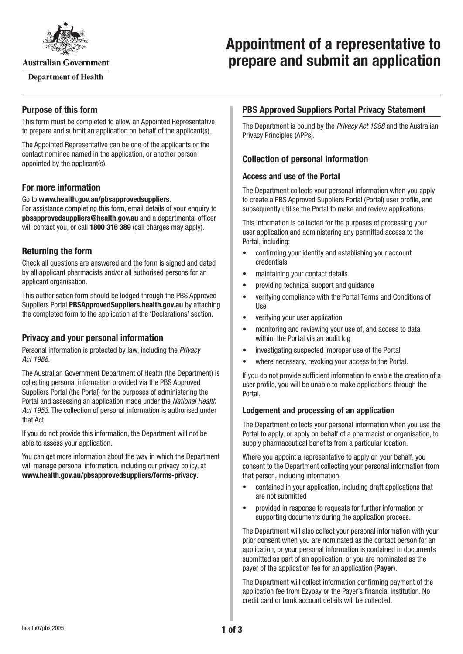

**Australian Government** 

**Department of Health** 

# **Appointment of a representative to prepare and submit an application**

## **Purpose of this form**

This form must be completed to allow an Appointed Representative to prepare and submit an application on behalf of the applicant(s).

The Appointed Representative can be one of the applicants or the contact nominee named in the application, or another person appointed by the applicant(s).

## **For more information**

Go to **[www.health.gov.au/pbsapprovedsuppliers](http://www.health.gov.au/pbsapprovedsuppliers)**.

For assistance completing this form, email details of your enquiry to **[pbsapprovedsuppliers@health.gov.au](mailto:pbsapprovedsuppliers@health.gov.au)** and a departmental officer will contact you, or call **1800 316 389** (call charges may apply).

# **Returning the form**

Check all questions are answered and the form is signed and dated by all applicant pharmacists and/or all authorised persons for an applicant organisation.

This authorisation form should be lodged through the PBS Approved Suppliers Portal **[PBSApprovedSuppliers.health.gov.au](https://pbsapprovedsuppliers.health.gov.au/)** by attaching the completed form to the application at the 'Declarations' section.

## **Privacy and your personal information**

Personal information is protected by law, including the *Privacy Act 1988.*

The Australian Government Department of Health (the Department) is collecting personal information provided via the PBS Approved Suppliers Portal (the Portal) for the purposes of administering the Portal and assessing an application made under the *National Health Act 1953*. The collection of personal information is authorised under that Act.

If you do not provide this information, the Department will not be able to assess your application.

You can get more information about the way in which the Department will manage personal information, including our privacy policy, at **[www.health.gov.au/pbsapprovedsuppliers/forms-privacy](http://www.health.gov.au/pbsapprovedsuppliers/forms-privacy)**.

# **PBS Approved Suppliers Portal Privacy Statement**

The Department is bound by the *Privacy Act 1988* and the Australian Privacy Principles (APPs).

## **Collection of personal information**

#### **Access and use of the Portal**

The Department collects your personal information when you apply to create a PBS Approved Suppliers Portal (Portal) user profile, and subsequently utilise the Portal to make and review applications.

This information is collected for the purposes of processing your user application and administering any permitted access to the Portal, including:

- confirming your identity and establishing your account credentials
- maintaining your contact details
- providing technical support and guidance
- verifying compliance with the Portal Terms and Conditions of Use
- verifying your user application
- monitoring and reviewing your use of, and access to data within, the Portal via an audit log
- investigating suspected improper use of the Portal
- where necessary, revoking your access to the Portal.

If you do not provide sufficient information to enable the creation of a user profile, you will be unable to make applications through the Portal.

#### **Lodgement and processing of an application**

The Department collects your personal information when you use the Portal to apply, or apply on behalf of a pharmacist or organisation, to supply pharmaceutical benefits from a particular location.

Where you appoint a representative to apply on your behalf, you consent to the Department collecting your personal information from that person, including information:

- contained in your application, including draft applications that are not submitted
- provided in response to requests for further information or supporting documents during the application process.

The Department will also collect your personal information with your prior consent when you are nominated as the contact person for an application, or your personal information is contained in documents submitted as part of an application, or you are nominated as the payer of the application fee for an application (**Payer**).

The Department will collect information confirming payment of the application fee from Ezypay or the Payer's financial institution. No credit card or bank account details will be collected.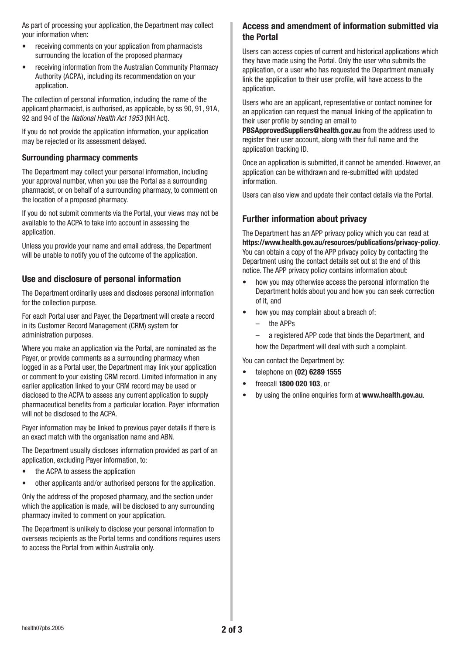As part of processing your application, the Department may collect your information when:

- receiving comments on your application from pharmacists surrounding the location of the proposed pharmacy
- receiving information from the Australian Community Pharmacy Authority (ACPA), including its recommendation on your application.

The collection of personal information, including the name of the applicant pharmacist, is authorised, as applicable, by ss 90, 91, 91A, 92 and 94 of the *National Health Act 1953* (NH Act).

If you do not provide the application information, your application may be rejected or its assessment delayed.

#### **Surrounding pharmacy comments**

The Department may collect your personal information, including your approval number, when you use the Portal as a surrounding pharmacist, or on behalf of a surrounding pharmacy, to comment on the location of a proposed pharmacy.

If you do not submit comments via the Portal, your views may not be available to the ACPA to take into account in assessing the application.

Unless you provide your name and email address, the Department will be unable to notify you of the outcome of the application.

# **Use and disclosure of personal information**

The Department ordinarily uses and discloses personal information for the collection purpose.

For each Portal user and Payer, the Department will create a record in its Customer Record Management (CRM) system for administration purposes.

Where you make an application via the Portal, are nominated as the Payer, or provide comments as a surrounding pharmacy when logged in as a Portal user, the Department may link your application or comment to your existing CRM record. Limited information in any earlier application linked to your CRM record may be used or disclosed to the ACPA to assess any current application to supply pharmaceutical benefits from a particular location. Payer information will not be disclosed to the ACPA.

Payer information may be linked to previous payer details if there is an exact match with the organisation name and ABN.

The Department usually discloses information provided as part of an application, excluding Payer information, to:

- the ACPA to assess the application
- other applicants and/or authorised persons for the application.

Only the address of the proposed pharmacy, and the section under which the application is made, will be disclosed to any surrounding pharmacy invited to comment on your application.

The Department is unlikely to disclose your personal information to overseas recipients as the Portal terms and conditions requires users to access the Portal from within Australia only.

#### **Access and amendment of information submitted via the Portal**

Users can access copies of current and historical applications which they have made using the Portal. Only the user who submits the application, or a user who has requested the Department manually link the application to their user profile, will have access to the application.

Users who are an applicant, representative or contact nominee for an application can request the manual linking of the application to their user profile by sending an email to

**[PBSApprovedSuppliers@health.gov.au](mailto:PBSApprovedSuppliers@health.gov.au)** from the address used to register their user account, along with their full name and the application tracking ID.

Once an application is submitted, it cannot be amended. However, an application can be withdrawn and re-submitted with updated information.

Users can also view and update their contact details via the Portal.

## **Further information about privacy**

The Department has an APP privacy policy which you can read at **<https://www.health.gov.au/resources/publications/privacy-policy>**. You can obtain a copy of the APP privacy policy by contacting the Department using the contact details set out at the end of this notice. The APP privacy policy contains information about:

- how you may otherwise access the personal information the Department holds about you and how you can seek correction of it, and
- how you may complain about a breach of:
	- the APPs
	- a registered APP code that binds the Department, and how the Department will deal with such a complaint.

You can contact the Department by:

- telephone on **(02) 6289 1555**
- freecall **1800 020 103**, or
- by using the online enquiries form at **[www.health.gov.au](http://www.health.gov.au)**.